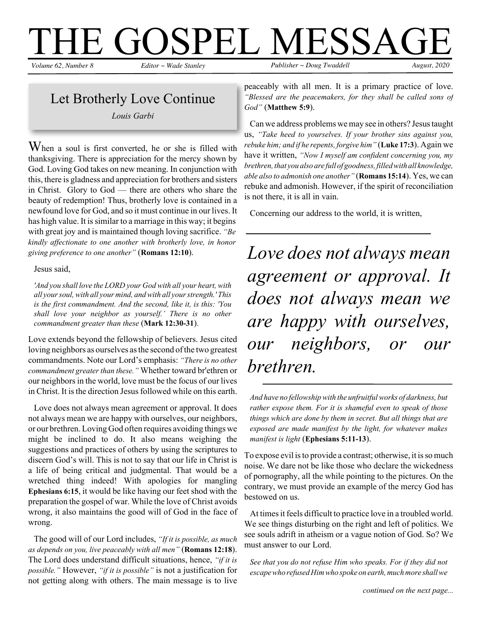### $E$  GOSPEL MESSAGE *Volume 62, Number 8 Editor ~ Wade Stanley Publisher ~ Doug Twaddell August, 2020*

Let Brotherly Love Continue

*Louis Garbi*

When a soul is first converted, he or she is filled with thanksgiving. There is appreciation for the mercy shown by God. Loving God takes on new meaning. In conjunction with this, there is gladness and appreciation for brothers and sisters in Christ. Glory to God — there are others who share the beauty of redemption! Thus, brotherly love is contained in a newfound love for God, and so it must continue in our lives. It has high value. It is similar to a marriage in this way; it begins with great joy and is maintained though loving sacrifice. *"Be kindly affectionate to one another with brotherly love, in honor giving preference to one another"* (**Romans 12:10**).

Jesus said,

*'And you shall love the LORD your God with all your heart, with all yoursoul,with all your mind, andwith all yourstrength.' This is the first commandment. And the second, like it, is this: 'You shall love your neighbor as yourself.' There is no other commandment greater than these* (**Mark 12:30-31**).

Love extends beyond the fellowship of believers. Jesus cited loving neighbors as ourselves as the second of the two greatest commandments. Note our Lord's emphasis: *"There is no other commandment greater than these."* Whether toward br'ethren or our neighbors in the world, love must be the focus of our lives in Christ. It is the direction Jesus followed while on this earth.

Love does not always mean agreement or approval. It does not always mean we are happy with ourselves, our neighbors, or our brethren. Loving God often requires avoiding things we might be inclined to do. It also means weighing the suggestions and practices of others by using the scriptures to discern God's will. This is not to say that our life in Christ is a life of being critical and judgmental. That would be a wretched thing indeed! With apologies for mangling **Ephesians 6:15**, it would be like having our feet shod with the preparation the gospel of war. While the love of Christ avoids wrong, it also maintains the good will of God in the face of wrong.

The good will of our Lord includes, *"If it is possible, as much as depends on you, live peaceably with all men"* (**Romans 12:18**). The Lord does understand difficult situations, hence, *"if it is possible."* However, *"if it is possible"* is not a justification for not getting along with others. The main message is to live peaceably with all men. It is a primary practice of love. *"Blessed are the peacemakers, for they shall be called sons of God"* (**Matthew 5:9**).

Can we address problems wemay see in others? Jesustaught us, *"Take heed to yourselves. If your brother sins against you, rebuke him; and if he repents, forgive him"* (**Luke 17:3**). Again we have it written, *"Now I myself am confident concerning you, my brethren,that you also are full of goodness,filledwith all knowledge, able also to admonish one another"* (**Romans 15:14**). Yes, we can rebuke and admonish. However, if the spirit of reconciliation is not there, it is all in vain.

Concerning our address to the world, it is written,

*Love does not always mean agreement or approval. It does not always mean we are happy with ourselves, our neighbors, or our brethren.*

*And have no fellowshipwith the unfruitfulworks of darkness, but rather expose them. For it is shameful even to speak of those things which are done by them in secret. But all things that are exposed are made manifest by the light, for whatever makes manifest is light* (**Ephesians 5:11-13**).

To expose evil isto provide a contrast; otherwise, it isso much noise. We dare not be like those who declare the wickedness of pornography, all the while pointing to the pictures. On the contrary, we must provide an example of the mercy God has bestowed on us.

At times it feels difficult to practice love in a troubled world. We see things disturbing on the right and left of politics. We see souls adrift in atheism or a vague notion of God. So? We must answer to our Lord.

*See that you do not refuse Him who speaks. For if they did not escapewho refusedHimwho spoke on earth,muchmore shallwe*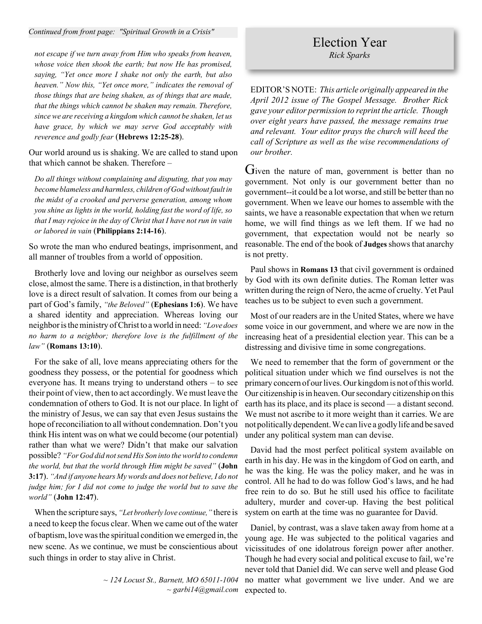*not escape if we turn away from Him who speaks from heaven, whose voice then shook the earth; but now He has promised, saying, "Yet once more I shake not only the earth, but also heaven." Now this, "Yet once more," indicates the removal of those things that are being shaken, as of things that are made, that the things which cannot be shaken may remain. Therefore, since we are receiving a kingdom which cannot be shaken, let us have grace, by which we may serve God acceptably with reverence and godly fear* (**Hebrews 12:25-28**).

Our world around us is shaking. We are called to stand upon that which cannot be shaken. Therefore –

*Do all things without complaining and disputing, that you may become blameless and harmless, children of Godwithout fault in the midst of a crooked and perverse generation, among whom you shine as lights in the world, holding fast the word of life, so that I may rejoice in the day of Christ that I have not run in vain or labored in vain* (**Philippians 2:14-16**).

So wrote the man who endured beatings, imprisonment, and all manner of troubles from a world of opposition.

Brotherly love and loving our neighbor as ourselves seem close, almost the same. There is a distinction, in that brotherly love is a direct result of salvation. It comes from our being a part of God's family, *"the Beloved"* (**Ephesians 1:6**). We have a shared identity and appreciation. Whereas loving our neighboristheministry ofChristto aworld in need: *"Love does no harm to a neighbor; therefore love is the fulfillment of the law"* (**Romans 13:10**).

For the sake of all, love means appreciating others for the goodness they possess, or the potential for goodness which everyone has. It means trying to understand others – to see their point of view, then to act accordingly. We must leave the condemnation of others to God. It is not our place. In light of the ministry of Jesus, we can say that even Jesus sustains the hope ofreconciliation to all without condemnation. Don't you think Hisintent was on what we could become (our potential) rather than what we were? Didn't that make our salvation possible? *"For God did notsend His Son into theworld to condemn the world, but that the world through Him might be saved"* (**John 3:17**). *"And if anyone hears My words and does not believe, I do not judge him; for I did not come to judge the world but to save the world"* (**John 12:47**).

When the scripture says, *"Let brotherly love continue,"* there is a need to keep the focus clear. When we came out of the water of baptism, love wasthe spiritual condition we emerged in, the new scene. As we continue, we must be conscientious about such things in order to stay alive in Christ.

> ~ garbi14@gmail.com expected to. *~ 124 Locust St., Barnett, MO 65011-1004*

# Election Year

*Rick Sparks*

EDITOR'S NOTE: *This article originally appeared in the April 2012 issue of The Gospel Message. Brother Rick gave your editor permission to reprint the article. Though over eight years have passed, the message remains true and relevant. Your editor prays the church will heed the call of Scripture as well as the wise recommendations of our brother.*

Given the nature of man, government is better than no government. Not only is our government better than no government--it could be a lot worse, and still be better than no government. When we leave our homes to assemble with the saints, we have a reasonable expectation that when we return home, we will find things as we left them. If we had no government, that expectation would not be nearly so reasonable. The end of the book of **Judges** showsthat anarchy is not pretty.

Paul shows in **Romans 13** that civil government is ordained by God with its own definite duties. The Roman letter was written during the reign of Nero, the acme of cruelty. Yet Paul teaches us to be subject to even such a government.

Most of our readers are in the United States, where we have some voice in our government, and where we are now in the increasing heat of a presidential election year. This can be a distressing and divisive time in some congregations.

We need to remember that the form of government or the political situation under which we find ourselves is not the primary concern of our lives. Our kingdom is not of this world. Our citizenship is in heaven. Our secondary citizenship on this earth has its place, and its place is second — a distant second. We must not ascribe to it more weight than it carries. We are not politically dependent.We can live a godly life and be saved under any political system man can devise.

David had the most perfect political system available on earth in his day. He was in the kingdom of God on earth, and he was the king. He was the policy maker, and he was in control. All he had to do was follow God's laws, and he had free rein to do so. But he still used his office to facilitate adultery, murder and cover-up. Having the best political system on earth at the time was no guarantee for David.

Daniel, by contrast, was a slave taken away from home at a young age. He was subjected to the political vagaries and vicissitudes of one idolatrous foreign power after another. Though he had every social and political excuse to fail, we're never told that Daniel did. We can serve well and please God no matter what government we live under. And we are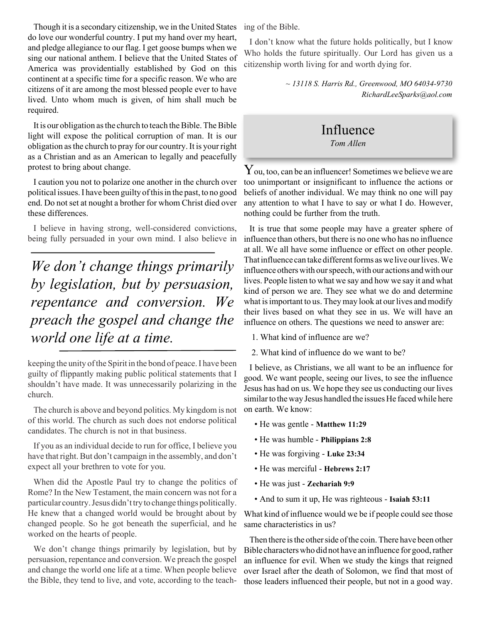Though it is a secondary citizenship, we in the United States do love our wonderful country. I put my hand over my heart, and pledge allegiance to our flag. I get goose bumps when we sing our national anthem. I believe that the United States of America was providentially established by God on this continent at a specific time for a specific reason. We who are citizens of it are among the most blessed people ever to have lived. Unto whom much is given, of him shall much be required.

It is our obligation as the church to teach the Bible. The Bible light will expose the political corruption of man. It is our obligation asthe church to pray for our country.It is yourright as a Christian and as an American to legally and peacefully protest to bring about change.

I caution you not to polarize one another in the church over political issues.I have been guilty ofthisin the past, to no good end. Do not set at nought a brother for whom Christ died over these differences.

I believe in having strong, well-considered convictions, being fully persuaded in your own mind. I also believe in

*We don't change things primarily by legislation, but by persuasion, repentance and conversion. We preach the gospel and change the world one life at a time.*

keeping the unity of the Spirit in the bond of peace. I have been guilty of flippantly making public political statements that I shouldn't have made. It was unnecessarily polarizing in the church.

The church is above and beyond politics. My kingdom is not of this world. The church as such does not endorse political candidates. The church is not in that business.

If you as an individual decide to run for office, I believe you have that right. But don't campaign in the assembly, and don't expect all your brethren to vote for you.

When did the Apostle Paul try to change the politics of Rome? In the New Testament, the main concern was not for a particular country.Jesus didn'ttry to change things politically. He knew that a changed world would be brought about by changed people. So he got beneath the superficial, and he worked on the hearts of people.

We don't change things primarily by legislation, but by persuasion, repentance and conversion. We preach the gospel and change the world one life at a time. When people believe the Bible, they tend to live, and vote, according to the teach-

ing of the Bible.

I don't know what the future holds politically, but I know Who holds the future spiritually. Our Lord has given us a citizenship worth living for and worth dying for.

> *~ 13118 S. Harris Rd., Greenwood, MO 64034-9730 RichardLeeSparks@aol.com*

### Influence *Tom Allen*

 $\Upsilon$  ou, too, can be an influencer! Sometimes we believe we are too unimportant or insignificant to influence the actions or beliefs of another individual. We may think no one will pay any attention to what I have to say or what I do. However, nothing could be further from the truth.

It is true that some people may have a greater sphere of influence than others, but there is no one who has no influence at all. We all have some influence or effect on other people. That influence can take different forms as we live our lives. We influence others with our speech, with our actions and with our lives. People listen to what we say and how we say it and what kind of person we are. They see what we do and determine what is important to us. They may look at our lives and modify their lives based on what they see in us. We will have an influence on others. The questions we need to answer are:

- 1. What kind of influence are we?
- 2. What kind of influence do we want to be?

I believe, as Christians, we all want to be an influence for good. We want people, seeing our lives, to see the influence Jesus has had on us. We hope they see us conducting our lives similar to the way Jesus handled the issues He faced while here on earth. We know:

- He was gentle **Matthew 11:29**
- He was humble **Philippians 2:8**
- He was forgiving **Luke 23:34**
- He was merciful **Hebrews 2:17**
- He was just **Zechariah 9:9**
- And to sum it up, He was righteous **Isaiah 53:11**

What kind of influence would we be if people could see those same characteristics in us?

Then there is the other side of the coin. There have been other Bible characters who did not have an influence for good, rather an influence for evil. When we study the kings that reigned over Israel after the death of Solomon, we find that most of those leaders influenced their people, but not in a good way.